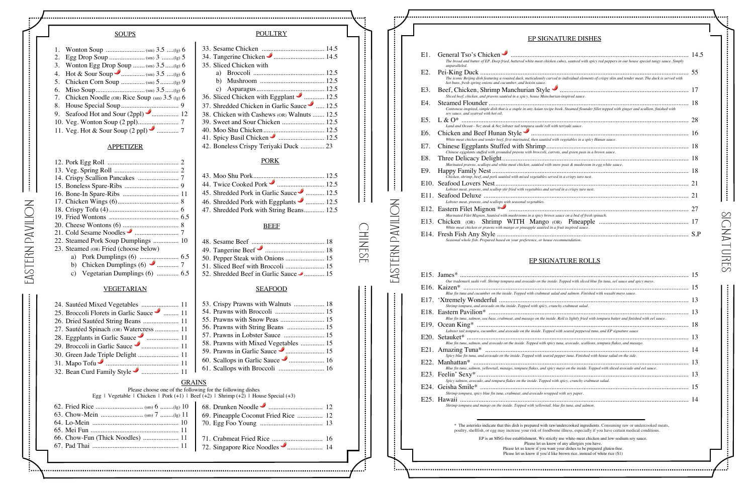EAsTERN PAVILION

EASTERN PAVILION

#### **SOUPS**

| 3. Wonton Egg Drop Soup  (sm) 3.5(lg) 6          |
|--------------------------------------------------|
|                                                  |
| 5. Chicken Corn Soup  (sm) 5(lg) 9               |
|                                                  |
| 7. Chicken Noodle (OR) Rice Soup (sm) 3.5 (lg) 6 |
|                                                  |
|                                                  |
|                                                  |
|                                                  |

#### APPETIZER

EASTERN PAVILION EAsTERN PAVILION

### **NATURE DISHES**

| 21. Cold Sesame Noodles Cumminstrum 7 |  |
|---------------------------------------|--|
| 22. Steamed Pork Soup Dumplings  10   |  |
| 23. Steamed (OR) Fried (choose below) |  |
|                                       |  |
|                                       |  |
| c) Vegetarian Dumplings (6)  6.5      |  |
|                                       |  |

#### VEGETARIAN

48. Sesame Beef ........................................... 18 49. Tangerine Beef ................................... 18 50. Pepper Steak with Onions....................... 15 51. Sliced Beef with Broccoli ....................... 15 52. Shredded Beef in Garlic Sauce  $\bullet$  ............. 15

| 25. Broccoli Florets in Garlic Sauce m 11<br>26. Dried Sautéed String Beans  11<br>27. Sautéed Spinach (OR) Watercress  11<br>28. Eggplants in Garlic Sauce <b>Communister</b> 11<br>31. Mapo Tofu<br>32. Bean Curd Family Style<br>32. Bean Curd Family Style<br>32. Bean Curd Family Style | 53. Crispy Prawns with Walnuts  18<br>57. Prawns in Lobster Sauce  15<br>58. Prawns with Mixed Vegetables  15<br>61. Scallops with Broccoli  16 |
|----------------------------------------------------------------------------------------------------------------------------------------------------------------------------------------------------------------------------------------------------------------------------------------------|-------------------------------------------------------------------------------------------------------------------------------------------------|
| <b>GRAINS</b><br>Please choose one of the following for the following dishes<br>Egg   Vegetable   Chicken   Pork (+1)   Beef (+2)   Shrimp (+2)   House Special (+3)                                                                                                                         |                                                                                                                                                 |
| 66. Chow-Fun (Thick Noodles)  11                                                                                                                                                                                                                                                             | 68. Drunken Noodle <b>Communication</b> 12<br>69. Pineapple Coconut Fried Rice  12                                                              |

Chinese

**POULTRY** 

33. Sesame Chicken ..................................... 14.5 34. Tangerine Chicken .............................. 14.5

35. Sliced Chicken with

a) Broccoli .......................................... 12.5 b) Mushroom ...................................... 12.5 c) Asparagus........................................ 12.5 36. Sliced Chicken with Eggplant **30. 12.5** 37. Shredded Chicken in Garlic Sauce 2..... 12.5 38. Chicken with Cashews (OR) Walnuts ....... 12.5 39. Sweet and Sour Chicken ......................... 12.5 40. Moo Shu Chicken.................................... 12.5 41. Spicy Basil Chicken ........................... 12.5 42. Boneless Crispy Teriyaki Duck .............. 23

PORK

43. Moo Shu Pork.......................................... 12.5 44. Twice Cooked Pork ............................ 12.5 45. Shredded Pork in Garlic Sauce  $\bullet$  ........... 12.5 46. Shredded Pork with Eggplants **3** ........... 12.5 47. Shredded Pork with String Beans............ 12.5

BEEF

SEAFOOD

|                  | <b>EP SIGNATURE DISHES</b>                                                                                                                                                                                            |  |
|------------------|-----------------------------------------------------------------------------------------------------------------------------------------------------------------------------------------------------------------------|--|
|                  |                                                                                                                                                                                                                       |  |
| E1.              | General Tso's Chicken<br>The bread and butter of EP. Deep fried, battered white meat chicken cubes, sauteed with spicy red peppers in our house special tangy sauce. Simply                                           |  |
|                  | unparalleled.                                                                                                                                                                                                         |  |
| E <sub>2</sub> . | The iconic Beijing dish featuring a roasted duck, meticulously carved to individual elements of crispy skin and tender meat. The duck is served with<br>hot buns, fresh spring onions and cucumber, and hoisin sauce. |  |
| E3.              | Beef, Chicken, Shrimp Manchurian Style Communication and the communication of 17<br>Sliced beef, chicken, and prawns sautéed in a spicy, house Manchurian-inspired sauce.                                             |  |
| E4.              | Cantonese-inspired, simple dish that is a staple in any Asian recipe book. Steamed flounder fillet topped with ginger and scallion, finished with                                                                     |  |
| E5.              | soy sauce, and scarred with hot oil.                                                                                                                                                                                  |  |
|                  | Land and Ocean - 80z steak & 60z lobster tail tempura sushi roll with teriyaki sauce.                                                                                                                                 |  |
| E6.              | Chicken and Beef Hunan Style Communication and the contract of the 16<br>White meat chicken and tender beef, first marinated, then sautéed with vegetables in a spicy Hunan sauce.                                    |  |
| E7.              | Chinese eggplants stuffed with grounded prawns with broccoli, carrots, and green peas in a brown sauce.                                                                                                               |  |
| E8.              | Marinated prawns, scallops and white meat chicken, sautéed with snow peas & mushroom in egg white sauce.                                                                                                              |  |
| E9.              | Chicken, shrimp, beef, and pork sautéed with mixed vegetables served in a crispy taro nest.                                                                                                                           |  |
| E10.             | Lobster meat, prawns, and scallop stir fried with vegetables and served in a crispy taro nest.                                                                                                                        |  |
| E11.             | Lobster meat, prawns, and scallops with seasonal vegetables.                                                                                                                                                          |  |
|                  | Marinated Filet Mignon. Sautéed with mushrooms in a spicy brown sauce on a bed of fresh spinach.                                                                                                                      |  |
|                  | White meat chicken or prawns with mango or pineapple sautéed in a fruit inspired sauce.                                                                                                                               |  |
|                  | Seasonal whole fish. Prepared based on your preference, or house recommendation.                                                                                                                                      |  |
|                  |                                                                                                                                                                                                                       |  |

| Е1.  | General Tso's Chicken                                                                                                                                                                                                 |    |
|------|-----------------------------------------------------------------------------------------------------------------------------------------------------------------------------------------------------------------------|----|
|      | The bread and butter of EP. Deep fried, battered white meat chicken cubes, sauteed with spicy red peppers in our house special tangy sauce. Simply<br>unparalleled.                                                   |    |
| E2.  |                                                                                                                                                                                                                       | 55 |
|      | The iconic Beijing dish featuring a roasted duck, meticulously carved to individual elements of crispy skin and tender meat. The duck is served with<br>hot buns, fresh spring onions and cucumber, and hoisin sauce. |    |
| E3.  | Beef, Chicken, Shrimp Manchurian Style Communication and the contract of 17                                                                                                                                           |    |
|      | Sliced beef, chicken, and prawns sautéed in a spicy, house Manchurian-inspired sauce.                                                                                                                                 |    |
| E4.  | Cantonese-inspired, simple dish that is a staple in any Asian recipe book. Steamed flounder fillet topped with ginger and scallion, finished with<br>soy sauce, and scarred with hot oil.                             |    |
| E5.  |                                                                                                                                                                                                                       |    |
|      | Land and Ocean - 80z steak & 60z lobster tail tempura sushi roll with teriyaki sauce.                                                                                                                                 |    |
| E6.  | Chicken and Beef Hunan Style Communication and a style of the Millet Chicken and Beef Hunan Style Communication                                                                                                       |    |
|      | White meat chicken and tender beef, first marinated, then sautéed with vegetables in a spicy Hunan sauce.                                                                                                             |    |
| E7.  | Chinese eggplants stuffed with grounded prawns with broccoli, carrots, and green peas in a brown sauce.                                                                                                               |    |
| E8.  |                                                                                                                                                                                                                       |    |
|      | Marinated prawns, scallops and white meat chicken, sautéed with snow peas & mushroom in egg white sauce.                                                                                                              |    |
| E9.  |                                                                                                                                                                                                                       |    |
|      | Chicken, shrimp, beef, and pork sautéed with mixed vegetables served in a crispy taro nest.                                                                                                                           |    |
| E10. | Lobster meat, prawns, and scallop stir fried with vegetables and served in a crispy taro nest.                                                                                                                        |    |
| E11. |                                                                                                                                                                                                                       |    |
|      | Lobster meat, prawns, and scallops with seasonal vegetables.                                                                                                                                                          |    |
|      |                                                                                                                                                                                                                       | 27 |
|      | Marinated Filet Mignon. Sautéed with mushrooms in a spicy brown sauce on a bed of fresh spinach.                                                                                                                      |    |
|      | White meat chicken or prawns with mango or pineapple sautéed in a fruit inspired sauce.                                                                                                                               |    |
|      |                                                                                                                                                                                                                       |    |
|      | Seasonal whole fish. Prepared based on your preference, or house recommendation                                                                                                                                       |    |

### EP SIGNATURE ROLLS

| Our trademark sushi roll. Shrimp tempura and avocado on the inside. Topped with sliced blue fin tuna, eel sauce and spicy mayo.                                                                                          |  |
|--------------------------------------------------------------------------------------------------------------------------------------------------------------------------------------------------------------------------|--|
|                                                                                                                                                                                                                          |  |
| Blue fin tuna and cucumber on the inside. Topped with crabmeat salad and salmon. Finished with wasabi mayo sauce.                                                                                                        |  |
| Shrimp tempura, and avocado on the inside. Topped with spicy, crunchy crabmeat salad.                                                                                                                                    |  |
| Blue fin tuna, salmon, sea bass, crabmeat, and masago on the inside. Roll is lightly fried with tempura batter and finished with eel sauce.                                                                              |  |
| Lobster tail tempura, cucumber, and avocado on the inside. Topped with seared peppered tuna, and EP signature sauce                                                                                                      |  |
| Blue fin tuna, salmon, and avocado on the inside. Topped with spicy tuna, avocado, scallions, tempura flakes, and masago.                                                                                                |  |
| Spicy blue fin tuna, and avocado on the inside. Topped with seared pepper tuna. Finished with house salad on the side.                                                                                                   |  |
| Blue fin tuna, salmon, yellowtail, masago, tempura flakes, and spicy mayo on the inside. Topped with sliced avocado and eel sauce.                                                                                       |  |
| Spicy salmon, avocado, and tempura flakes on the inside. Topped with spicy, crunchy crabmeat salad.                                                                                                                      |  |
| Shrimp tempura, spicy blue fin tuna, crabmeat, and avocado wrapped with soy paper.                                                                                                                                       |  |
| Shrimp tempura and mango on the inside. Topped with yellowtail, blue fin tuna, and salmon.                                                                                                                               |  |
| * The asterisks indicate that this dish is prepared with raw/undercooked ingredients. Consuming raw or undercooked meats,                                                                                                |  |
| poultry, shellfish, or egg may increase your risk of foodborne illness, especially if you have certain medical conditions.                                                                                               |  |
| EP is an MSG-free establishment. We strictly use white-meat chicken and low-sodium soy sauce.<br>Please let us know of any allergies you have.<br>Please let us know if you want your dishes to be prepared gluten-free. |  |
| Please let us know if you'd like brown rice, instead of white rice (\$1)                                                                                                                                                 |  |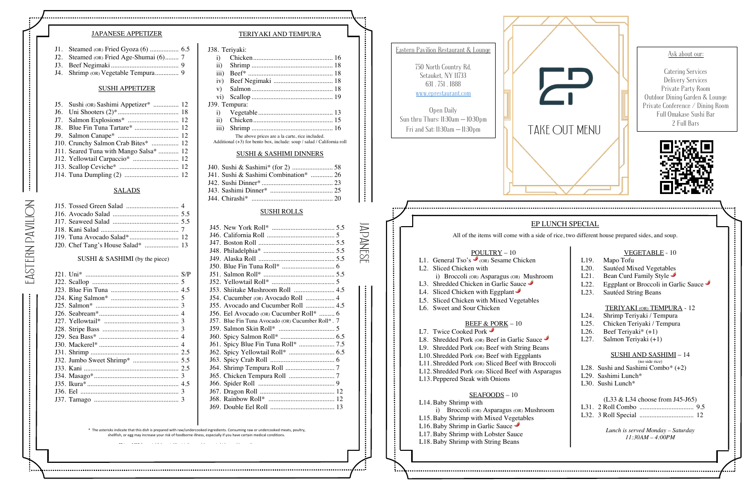#### TERIYAKI AND TEMPURA

J38. Teriyaki:

| $\ddot{i}$       |                                                                        |  |
|------------------|------------------------------------------------------------------------|--|
| $\rm ii)$        |                                                                        |  |
| $\overline{iii}$ |                                                                        |  |
| iv)              |                                                                        |  |
| V)               |                                                                        |  |
|                  |                                                                        |  |
|                  | J39. Tempura:                                                          |  |
|                  |                                                                        |  |
|                  |                                                                        |  |
| $\overline{111}$ |                                                                        |  |
|                  | The above prices are a la carte, rice included.                        |  |
|                  | Additional (+3) for bento box, include: soup / salad / California roll |  |

#### SUSHI & SASHIMI DINNERS

| J41. Sushi & Sashimi Combination*  26 |  |
|---------------------------------------|--|
|                                       |  |
|                                       |  |
|                                       |  |

| <b>VEGETABLE - 10</b> |  |
|-----------------------|--|
|-----------------------|--|

| L19. | Mapo Tofu                                  |
|------|--------------------------------------------|
| L20. | Sautéed Mixed Vegetables                   |
| L21. | Bean Curd Family Style                     |
| L22. | Eggplant or Broccoli in Garlic Sauce       |
| L23. | Sautéed String Beans                       |
|      |                                            |
|      | <b>TERIYAKI</b> (OR) <b>TEMPURA</b> - 12   |
| L24. | Shrimp Teriyaki / Tempura                  |
| L25. | Chicken Teriyaki / Tempura                 |
| L26. | Beef Teriyaki* $(+1)$                      |
| L27. | Salmon Teriyaki (+1)                       |
|      |                                            |
|      | SUSHI AND SASHIMI – 14                     |
|      | (no side rice)                             |
|      | L28. Sushi and Sashimi Combo* $(+2)$       |
|      | $1.29.$ Sashimi Lunch*                     |
|      | $L30.$ Sushi Lunch*                        |
|      |                                            |
|      | $(L33 \& L34 \text{ choose from J45-I65})$ |
|      |                                            |
|      |                                            |
|      |                                            |
|      | Lunch is served Monday – Saturday          |

*11:30AM – 4:00PM*

#### SUSHI ROLLS

| J2. Steamed (OR) Fried Age-Shumai (6) 7 |  |
|-----------------------------------------|--|
|                                         |  |

| J55. Avocado and Cucumber Roll  4.5               |  |
|---------------------------------------------------|--|
| J56. Eel Avocado (OR) Cucumber Roll*  6           |  |
| J57. Blue Fin Tuna Avocado (OR) Cucumber Roll*. 7 |  |
|                                                   |  |
|                                                   |  |
|                                                   |  |
|                                                   |  |
|                                                   |  |
|                                                   |  |
|                                                   |  |
|                                                   |  |
|                                                   |  |
|                                                   |  |
|                                                   |  |
|                                                   |  |



#### JAPANESE APPETIZER

J4. Shrimp (OR) Vegetable Tempura.............. 9

#### SUSHI APPETIZER

| J5. Sushi (OR) Sashimi Appetizer*  12  |  |
|----------------------------------------|--|
|                                        |  |
|                                        |  |
|                                        |  |
|                                        |  |
| J10. Crunchy Salmon Crab Bites*  12    |  |
| J11. Seared Tuna with Mango Salsa*  12 |  |
|                                        |  |
|                                        |  |
|                                        |  |
|                                        |  |

#### SALADS

EAsTERN PAVILION

EASTERN PAVILION

Japanese

. . . . .

Ask about our: Catering Services Delivery Services Private Party Room Outdoor Dining Garden & Lounge Private Conference / Dining Room Full Omakase Sushi Bar 2 Full Bars



\* The asterisks indicate that this dish is prepared with raw/undercooked ingredients. Consuming raw or undercooked meats, poultry, shellfish, or egg may increase your risk of foodborne illness, especially if you have certain medical conditions.

#### SUSHI & SASHIMI (by the piece)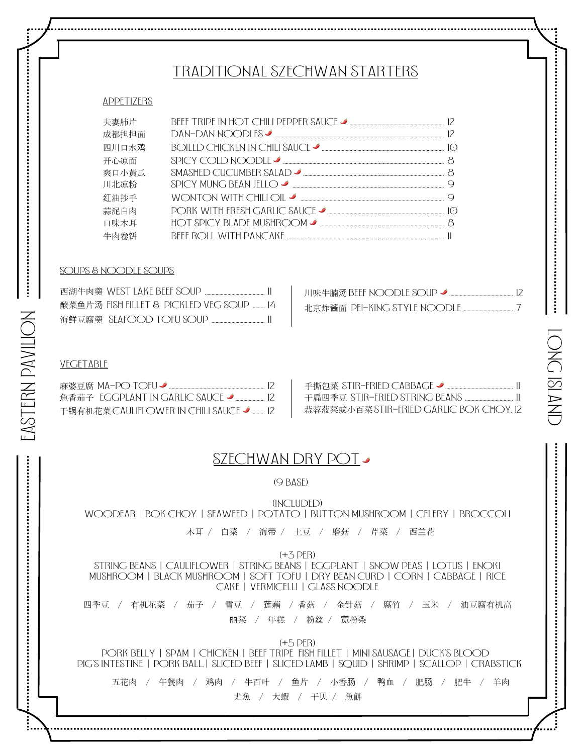## Traditional szechwan starters

#### **APPETIZERS**

| 夫妻肺片  |                       |  |
|-------|-----------------------|--|
| 成都担担面 | $DAN-DAN NOODIES$     |  |
| 四川口水鸡 |                       |  |
| 开心凉面  |                       |  |
| 爽口小黄瓜 |                       |  |
| 川北凉粉  | SPICY MUNG BEAN JELLO |  |
| 红油抄手  | WONTON WITH CHILI OIL |  |
| 蒜泥白肉  |                       |  |
| 口味木耳  |                       |  |
| 牛肉尜饼  |                       |  |

#### soups & noodle soups

| 酸菜鱼片汤 FISH FILLET & PICKLED VEG SOUP  14 |  |
|------------------------------------------|--|
|                                          |  |

| 川味牛腩汤 BEEF NOODLE SOUP →<br>, 12 |  |
|----------------------------------|--|
|                                  |  |

#### **VEGETABLE**

| 麻婆豆腐 MA-PO TOFU ✔                                    | - 手撕包菜 STIR-FRIFD CABBAGE ♪              |
|------------------------------------------------------|------------------------------------------|
| 魚香茄子 『GGPLANT IN GARLIC SAUCE ✔                      |                                          |
| - 干锅有机花菜 CAULIFI OWER IN CHILL SAUCF - 2 - 2 - 2 - 2 | - 蒜蓉菠菜或小百菜 STIR-FRIFD GARLIC BOK CHOY 12 |

| 蒜蓉菠菜或小百菜 STIR-FRIED GARLIC BOK CHOY. 12 |  |
|-----------------------------------------|--|

LONG IsLAND

ONC ISLAN

## SZECHWAN DRY POT

#### (9 base)

(Included) Woodear |. Bok Choy | seaweed | Potato | Button Mushroom | Celery | Broccoli

木耳 / 白菜 / 海带 / 土豆 / 磨菇 / 芹菜 / 西兰花

 $(+3$  PER)

string Beans | Cauliflower | string Beans | Eggplant | snow Peas | Lotus | Enoki Mushroom | Black Mushroom | soft Tofu | Dry Bean Curd | Corn | Cabbage | Rice Cake | Vermicelli | Glass Noodle

四季豆 / 有机花菜 / 茄子 / 雪豆 / 莲藕 / 香菇 / 金针菇 / 腐竹 / 玉米 / 油豆腐有机高 丽菜 / 年糕 / 粉丝 / 宽粉条

 $(+5$  PER)

PORK BELLY | SPAM | CHICKEN | BEEF TRIPE FISH FILLET | MINI SAUSAGE | DUCK'S BLOOD PIG'S INTESTINE | PORK BALL. | SLICED BEEF | SLICED LAMB | SQUID | SHRIMP | SCALLOP | CRABSTICK

五花肉 / 午餐肉 / 鸡肉 / 牛百叶 / 鱼片 / 小香肠 / 鸭血 / 肥肠 / 肥牛 / 羊肉 尤魚 / 大蝦 / 干贝 / 魚餅